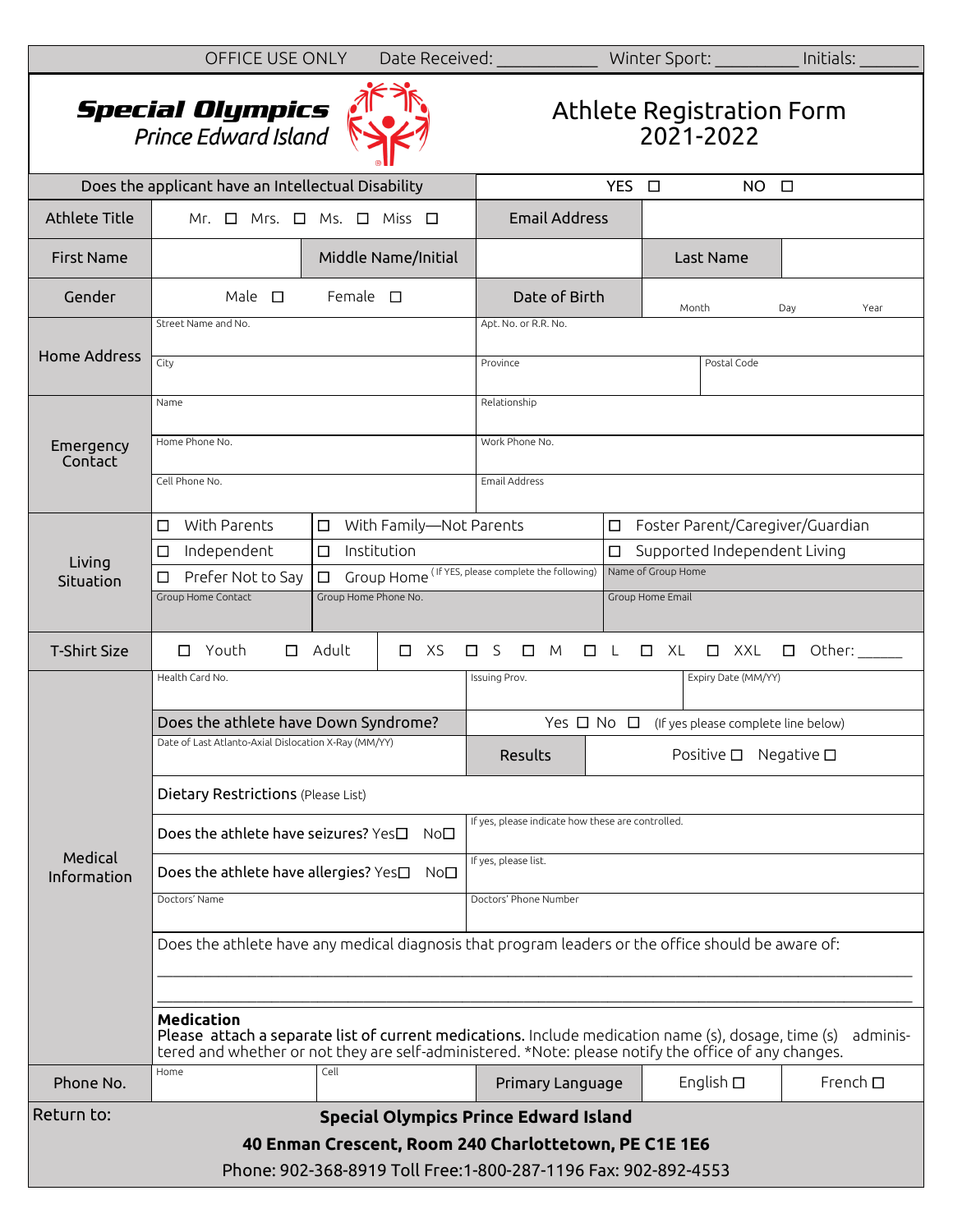|                                                                | OFFICE USE ONLY                                                                                                                                                                                                                              |                       | Date Received: |                                                          |             |                      | Winter Sport: _________                | Initials:                    |  |
|----------------------------------------------------------------|----------------------------------------------------------------------------------------------------------------------------------------------------------------------------------------------------------------------------------------------|-----------------------|----------------|----------------------------------------------------------|-------------|----------------------|----------------------------------------|------------------------------|--|
|                                                                | <b>Special Olympics</b><br>Prince Edward Island                                                                                                                                                                                              |                       |                |                                                          |             |                      | Athlete Registration Form<br>2021-2022 |                              |  |
|                                                                | Does the applicant have an Intellectual Disability                                                                                                                                                                                           |                       |                | YES O<br>$NO$ $\Box$                                     |             |                      |                                        |                              |  |
| <b>Athlete Title</b>                                           | Mr. $\Box$ Mrs. $\Box$<br>Ms. $\Box$ Miss $\Box$                                                                                                                                                                                             |                       |                | <b>Email Address</b>                                     |             |                      |                                        |                              |  |
| <b>First Name</b>                                              |                                                                                                                                                                                                                                              | Middle Name/Initial   |                |                                                          |             |                      | Last Name                              |                              |  |
| Gender                                                         | Male $\square$                                                                                                                                                                                                                               | Female $\square$      |                | Date of Birth                                            |             | Month<br>Day<br>Year |                                        |                              |  |
| <b>Home Address</b>                                            | Street Name and No.                                                                                                                                                                                                                          |                       |                | Apt. No. or R.R. No.                                     |             |                      |                                        |                              |  |
|                                                                | City                                                                                                                                                                                                                                         |                       |                | Province                                                 | Postal Code |                      |                                        |                              |  |
| Emergency<br>Contact                                           | Name                                                                                                                                                                                                                                         |                       |                | Relationship                                             |             |                      |                                        |                              |  |
|                                                                | Home Phone No.                                                                                                                                                                                                                               |                       |                | Work Phone No.                                           |             |                      |                                        |                              |  |
|                                                                | Cell Phone No.                                                                                                                                                                                                                               |                       |                | <b>Email Address</b>                                     |             |                      |                                        |                              |  |
|                                                                | $\Box$ With Parents<br>□ With Family-Not Parents                                                                                                                                                                                             |                       |                |                                                          |             |                      | □ Foster Parent/Caregiver/Guardian     |                              |  |
| Living                                                         | Independent<br>□                                                                                                                                                                                                                             | Institution<br>$\Box$ |                | $\Box$                                                   |             |                      |                                        | Supported Independent Living |  |
| Situation                                                      | Group Home (IFYES, please complete the following)<br>$\Box$<br>Prefer Not to Say<br>□                                                                                                                                                        |                       |                | Name of Group Home                                       |             |                      |                                        |                              |  |
|                                                                | Group Home Phone No.<br>Group Home Contact                                                                                                                                                                                                   |                       |                | Group Home Email                                         |             |                      |                                        |                              |  |
| <b>T-Shirt Size</b>                                            | $\Box$ Youth                                                                                                                                                                                                                                 | $\Box$ Adult          | $\Box$ XS      | $\Box$ S<br>M<br>$\Box$                                  | $\Box$ L    | $\Box$ XL            | $\Box$ XXL                             | $\square$ Other:             |  |
|                                                                | Health Card No.                                                                                                                                                                                                                              |                       |                | Expiry Date (MM/YY)<br>Issuing Prov.                     |             |                      |                                        |                              |  |
|                                                                | Does the athlete have Down Syndrome?                                                                                                                                                                                                         |                       |                | Yes $\Box$ No $\Box$ (If yes please complete line below) |             |                      |                                        |                              |  |
|                                                                | Date of Last Atlanto-Axial Dislocation X-Ray (MM/YY)                                                                                                                                                                                         |                       |                | Results<br>Positive $\square$<br>Negative $\square$      |             |                      |                                        |                              |  |
|                                                                | Dietary Restrictions (Please List)                                                                                                                                                                                                           |                       |                |                                                          |             |                      |                                        |                              |  |
|                                                                | Does the athlete have seizures? Yes□<br>No□                                                                                                                                                                                                  |                       |                | If yes, please indicate how these are controlled.        |             |                      |                                        |                              |  |
| Medical<br>Information                                         | Does the athlete have allergies? Yes□ No□                                                                                                                                                                                                    |                       |                | If yes, please list.                                     |             |                      |                                        |                              |  |
|                                                                | Doctors' Name                                                                                                                                                                                                                                |                       |                | Doctors' Phone Number                                    |             |                      |                                        |                              |  |
|                                                                | Does the athlete have any medical diagnosis that program leaders or the office should be aware of:                                                                                                                                           |                       |                |                                                          |             |                      |                                        |                              |  |
|                                                                |                                                                                                                                                                                                                                              |                       |                |                                                          |             |                      |                                        |                              |  |
|                                                                | <b>Medication</b><br>Please attach a separate list of current medications. Include medication name (s), dosage, time (s)<br>adminis-<br>tered and whether or not they are self-administered. *Note: please notify the office of any changes. |                       |                |                                                          |             |                      |                                        |                              |  |
| Phone No.                                                      | Home                                                                                                                                                                                                                                         | Cell                  |                | Primary Language                                         |             |                      | English $\square$                      | French $\square$             |  |
| Return to:                                                     |                                                                                                                                                                                                                                              |                       |                | <b>Special Olympics Prince Edward Island</b>             |             |                      |                                        |                              |  |
| 40 Enman Crescent, Room 240 Charlottetown, PE C1E 1E6          |                                                                                                                                                                                                                                              |                       |                |                                                          |             |                      |                                        |                              |  |
| Phone: 902-368-8919 Toll Free:1-800-287-1196 Fax: 902-892-4553 |                                                                                                                                                                                                                                              |                       |                |                                                          |             |                      |                                        |                              |  |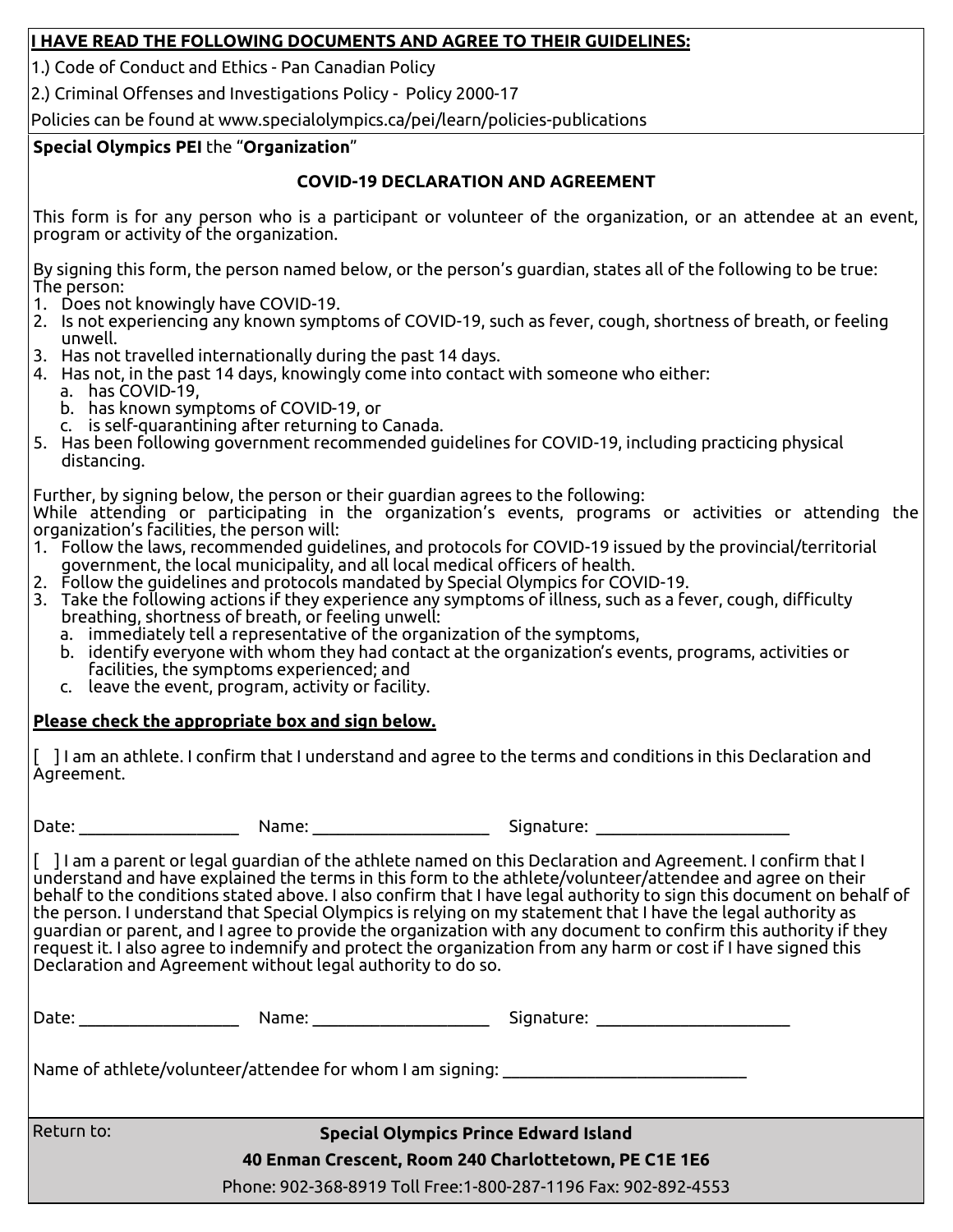## **I HAVE READ THE FOLLOWING DOCUMENTS AND AGREE TO THEIR GUIDELINES:**

1.) Code of Conduct and Ethics - Pan Canadian Policy

2.) Criminal Offenses and Investigations Policy - Policy 2000-17

Policies can be found at www.specialolympics.ca/pei/learn/policies-publications

## **Special Olympics PEI** the "**Organization**"

# **COVID-19 DECLARATION AND AGREEMENT**

This form is for any person who is a participant or volunteer of the organization, or an attendee at an event, program or activity of the organization.

By signing this form, the person named below, or the person's guardian, states all of the following to be true: The person:

- 1. Does not knowingly have COVID-19.
- 2. Is not experiencing any known symptoms of COVID-19, such as fever, cough, shortness of breath, or feeling unwell.
- 3. Has not travelled internationally during the past 14 days.
- 4. Has not, in the past 14 days, knowingly come into contact with someone who either:
	- a. has COVID-19,
	- b. has known symptoms of COVID-19, or
	- c. is self-quarantining after returning to Canada.
- 5. Has been following government recommended guidelines for COVID-19, including practicing physical distancing.

Further, by signing below, the person or their guardian agrees to the following:

While attending or participating in the organization's events, programs or activities or attending the organization's facilities, the person will:

- 1. Follow the laws, recommended guidelines, and protocols for COVID-19 issued by the provincial/territorial government, the local municipality, and all local medical officers of health.
- 2. Follow the guidelines and protocols mandated by Special Olympics for COVID-19.
- 3. Take the following actions if they experience any symptoms of illness, such as a fever, cough, difficulty breathing, shortness of breath, or feeling unwell:
	- a. immediately tell a representative of the organization of the symptoms,
	- b. identify everyone with whom they had contact at the organization's events, programs, activities or facilities, the symptoms experienced; and
	- c. leave the event, program, activity or facility.

# **Please check the appropriate box and sign below.**

[ ] I am an athlete. I confirm that I understand and agree to the terms and conditions in this Declaration and Agreement.

Date: \_\_\_\_\_\_\_\_\_\_\_\_\_\_\_\_\_\_\_ Name: \_\_\_\_\_\_\_\_\_\_\_\_\_\_\_\_\_\_\_\_\_ Signature: \_\_\_\_\_\_\_\_\_\_\_\_\_\_\_\_\_\_\_\_\_\_\_

[ ] I am a parent or legal guardian of the athlete named on this Declaration and Agreement. I confirm that I understand and have explained the terms in this form to the athlete/volunteer/attendee and agree on their behalf to the conditions stated above. I also confirm that I have legal authority to sign this document on behalf of the person. I understand that Special Olympics is relying on my statement that I have the legal authority as guardian or parent, and I agree to provide the organization with any document to confirm this authority if they request it. I also agree to indemnify and protect the organization from any harm or cost if I have signed this Declaration and Agreement without legal authority to do so.

| Date: ________________ | Signature: ______________________ |                                                                                                                                                                                                                                                                                         |
|------------------------|-----------------------------------|-----------------------------------------------------------------------------------------------------------------------------------------------------------------------------------------------------------------------------------------------------------------------------------------|
|                        |                                   |                                                                                                                                                                                                                                                                                         |
|                        |                                   |                                                                                                                                                                                                                                                                                         |
|                        |                                   |                                                                                                                                                                                                                                                                                         |
|                        |                                   | Name: _________________<br> Name of athlete/volunteer/attendee for whom I am signing: _____________________<br><b>Special Olympics Prince Edward Island</b><br>40 Enman Crescent, Room 240 Charlottetown, PE C1E 1E6<br>Phone: 902-368-8919 Toll Free: 1-800-287-1196 Fax: 902-892-4553 |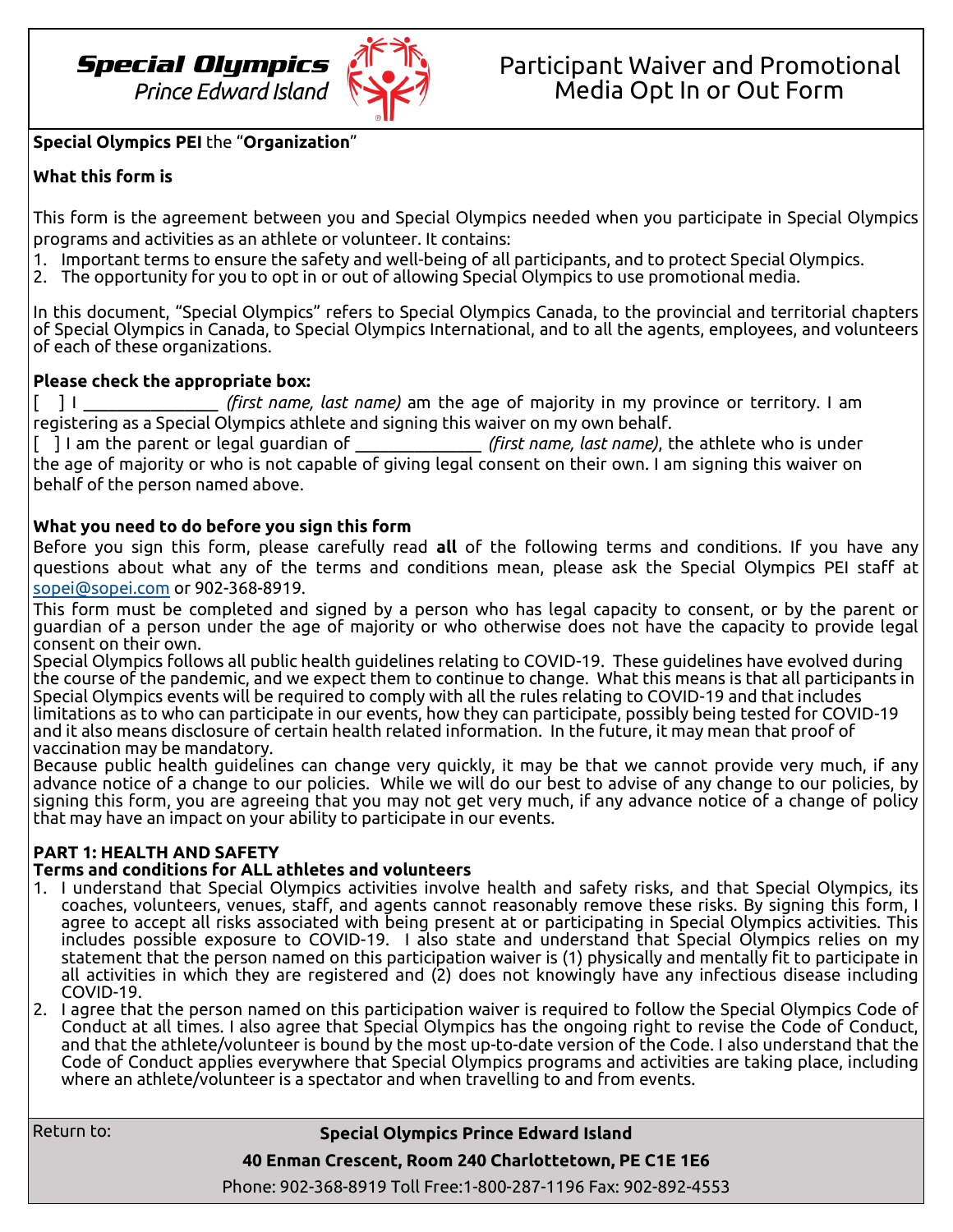

## **Special Olympics PEI** the "**Organization**"

## **What this form is**

This form is the agreement between you and Special Olympics needed when you participate in Special Olympics programs and activities as an athlete or volunteer. It contains:

- 1. Important terms to ensure the safety and well-being of all participants, and to protect Special Olympics.
- 2. The opportunity for you to opt in or out of allowing Special Olympics to use promotional media.

In this document, "Special Olympics" refers to Special Olympics Canada, to the provincial and territorial chapters of Special Olympics in Canada, to Special Olympics International, and to all the agents, employees, and volunteers of each of these organizations.

## **Please check the appropriate box:**

[ ] I \_\_\_\_\_\_\_\_\_\_\_\_\_\_\_\_ *(first name, last name)* am the age of majority in my province or territory. I am registering as a Special Olympics athlete and signing this waiver on my own behalf.

[ ] I am the parent or legal guardian of \_\_\_\_\_\_\_\_\_\_\_\_\_\_\_ *(first name, last name)*, the athlete who is under the age of majority or who is not capable of giving legal consent on their own. I am signing this waiver on behalf of the person named above.

## **What you need to do before you sign this form**

Before you sign this form, please carefully read **all** of the following terms and conditions. If you have any questions about what any of the terms and conditions mean, please ask the Special Olympics PEI staff at [sopei@sopei.com](mailto:sopei@sopei.com) or 902-368-8919.

This form must be completed and signed by a person who has legal capacity to consent, or by the parent or guardian of a person under the age of majority or who otherwise does not have the capacity to provide legal consent on their own.

Special Olympics follows all public health guidelines relating to COVID-19. These guidelines have evolved during the course of the pandemic, and we expect them to continue to change. What this means is that all participants in Special Olympics events will be required to comply with all the rules relating to COVID-19 and that includes limitations as to who can participate in our events, how they can participate, possibly being tested for COVID-19 and it also means disclosure of certain health related information. In the future, it may mean that proof of vaccination may be mandatory.

Because public health guidelines can change very quickly, it may be that we cannot provide very much, if any advance notice of a change to our policies. While we will do our best to advise of any change to our policies, by signing this form, you are agreeing that you may not get very much, if any advance notice of a change of policy that may have an impact on your ability to participate in our events.

## **PART 1: HEALTH AND SAFETY**

### **Terms and conditions for ALL athletes and volunteers**

- 1. I understand that Special Olympics activities involve health and safety risks, and that Special Olympics, its coaches, volunteers, venues, staff, and agents cannot reasonably remove these risks. By signing this form, I agree to accept all risks associated with being present at or participating in Special Olympics activities. This includes possible exposure to COVID-19. I also state and understand that Special Olympics relies on my statement that the person named on this participation waiver is (1) physically and mentally fit to participate in all activities in which they are registered and (2) does not knowingly have any infectious disease including COVID-19.
- 2. I agree that the person named on this participation waiver is required to follow the Special Olympics Code of Conduct at all times. I also agree that Special Olympics has the ongoing right to revise the Code of Conduct, and that the athlete/volunteer is bound by the most up-to-date version of the Code. I also understand that the Code of Conduct applies everywhere that Special Olympics programs and activities are taking place, including where an athlete/volunteer is a spectator and when travelling to and from events.

Return to:

**Special Olympics Prince Edward Island**

**40 Enman Crescent, Room 240 Charlottetown, PE C1E 1E6**

Phone: 902-368-8919 Toll Free:1-800-287-1196 Fax: 902-892-4553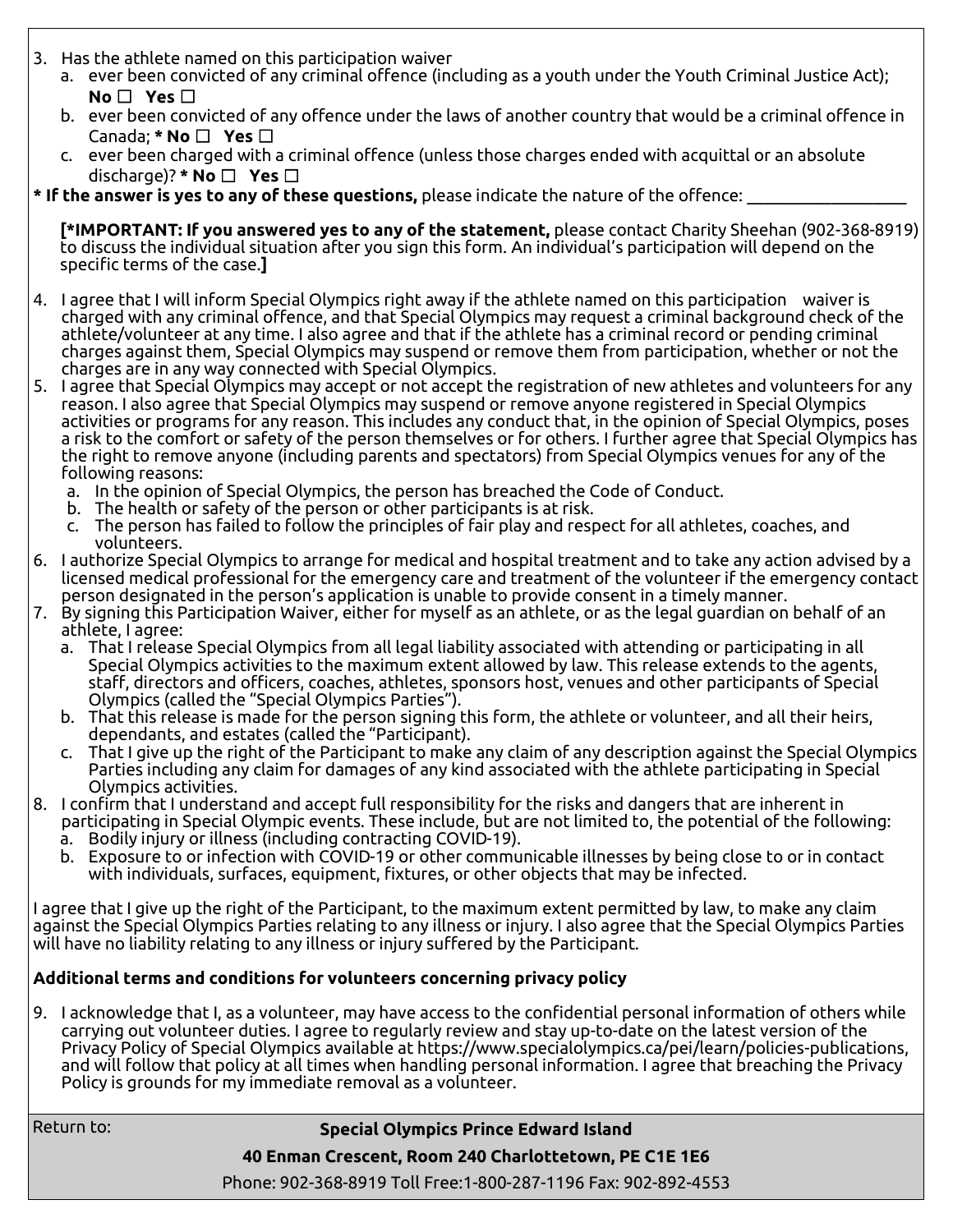- 3. Has the athlete named on this participation waiver
	- a. ever been convicted of any criminal offence (including as a youth under the Youth Criminal Justice Act); **No** ☐ **Yes** ☐
	- b. ever been convicted of any offence under the laws of another country that would be a criminal offence in Canada; **\* No** ☐ **Yes** ☐
	- c. ever been charged with a criminal offence (unless those charges ended with acquittal or an absolute discharge)? **\* No** ☐ **Yes** ☐
- **\* If the answer is yes to any of these questions,** please indicate the nature of the offence: \_\_\_\_\_\_\_\_\_\_\_\_\_\_\_\_\_\_\_

**[\*IMPORTANT: If you answered yes to any of the statement,** please contact Charity Sheehan (902-368-8919) to discuss the individual situation after you sign this form. An individual's participation will depend on the specific terms of the case.**]**

- 4. I agree that I will inform Special Olympics right away if the athlete named on this participation waiver is charged with any criminal offence, and that Special Olympics may request a criminal background check of the athlete/volunteer at any time. I also agree and that if the athlete has a criminal record or pending criminal charges against them, Special Olympics may suspend or remove them from participation, whether or not the charges are in any way connected with Special Olympics.
- 5. I agree that Special Olympics may accept or not accept the registration of new athletes and volunteers for any reason. I also agree that Special Olympics may suspend or remove anyone registered in Special Olympics activities or programs for any reason. This includes any conduct that, in the opinion of Special Olympics, poses a risk to the comfort or safety of the person themselves or for others. I further agree that Special Olympics has the right to remove anyone (including parents and spectators) from Special Olympics venues for any of the following reasons:
	- a. In the opinion of Special Olympics, the person has breached the Code of Conduct.
	- b. The health or safety of the person or other participants is at risk.
	- c. The person has failed to follow the principles of fair play and respect for all athletes, coaches, and volunteers.
- 6. I authorize Special Olympics to arrange for medical and hospital treatment and to take any action advised by a licensed medical professional for the emergency care and treatment of the volunteer if the emergency contact person designated in the person's application is unable to provide consent in a timely manner.
- 7. By signing this Participation Waiver, either for myself as an athlete, or as the legal guardian on behalf of an athlete, I agree:
	- a. That I release Special Olympics from all legal liability associated with attending or participating in all Special Olympics activities to the maximum extent allowed by law. This release extends to the agents, staff, directors and officers, coaches, athletes, sponsors host, venues and other participants of Special Olympics (called the "Special Olympics Parties").
	- b. That this release is made for the person signing this form, the athlete or volunteer, and all their heirs, dependants, and estates (called the "Participant).
	- c. That I give up the right of the Participant to make any claim of any description against the Special Olympics Parties including any claim for damages of any kind associated with the athlete participating in Special Olympics activities.
- 8. I confirm that I understand and accept full responsibility for the risks and dangers that are inherent in participating in Special Olympic events. These include, but are not limited to, the potential of the following: a. Bodily injury or illness (including contracting COVID-19).
	- b. Exposure to or infection with COVID-19 or other communicable illnesses by being close to or in contact with individuals, surfaces, equipment, fixtures, or other objects that may be infected.

I agree that I give up the right of the Participant, to the maximum extent permitted by law, to make any claim against the Special Olympics Parties relating to any illness or injury. I also agree that the Special Olympics Parties will have no liability relating to any illness or injury suffered by the Participant.

## **Additional terms and conditions for volunteers concerning privacy policy**

9. I acknowledge that I, as a volunteer, may have access to the confidential personal information of others while carrying out volunteer duties. I agree to regularly review and stay up-to-date on the latest version of the Privacy Policy of Special Olympics available at https://www.specialolympics.ca/pei/learn/policies-publications, and will follow that policy at all times when handling personal information. I agree that breaching the Privacy Policy is grounds for my immediate removal as a volunteer.

Return to:

## **Special Olympics Prince Edward Island**

**40 Enman Crescent, Room 240 Charlottetown, PE C1E 1E6**

Phone: 902-368-8919 Toll Free:1-800-287-1196 Fax: 902-892-4553